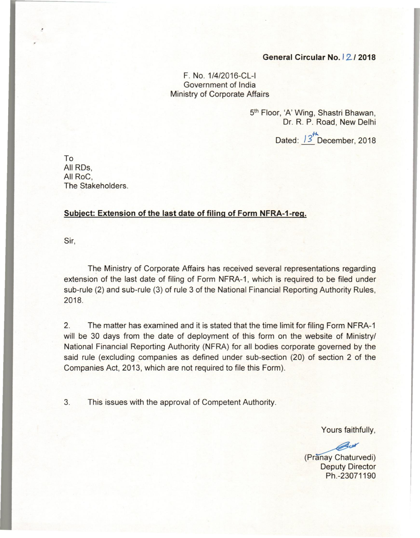## **General Circular No.** *'212018*

F. No. 1/4/2016-CL-1 Government of India Ministry of Corporate Affairs

> 5th Floor, 'A' Wing, Shastri Bhawan, Dr. R. P. Road, New Delhi

> > Dated:  $13^{th}$ December, 2018

To All RDs, All RoC, The Stakeholders.

## **Subject: Extension of the last date of filing of Form NFRA-1-reg.**

Sir,

!

The Ministry of Corporate Affairs has received several representations regarding extension of the last date of filing of Form NFRA-1, which is required to be filed under sub-rule (2) and sub-rule (3) of rule 3 of the National Financial Reporting Authority Rules, 2018.

2. The matter has examined and it is stated that the time limit for filing Form NFRA-1 will be 30 days from the date of deployment of this form on the website of Ministry/ National Financial Reporting Authority (NFRA) for all bodies corporate governed by the said rule (excluding companies as defined under sub-section (20) of section 2 of the Companies Act, 2013, which are not required to file this Form).

3. This issues with the approval of Competent Authority.

Yours faithfully,

Yours faithfully,<br>
Chaturvedi)<br>
Deputy Director<br>
Ph -23071190 Deputy Director Ph.-23071190